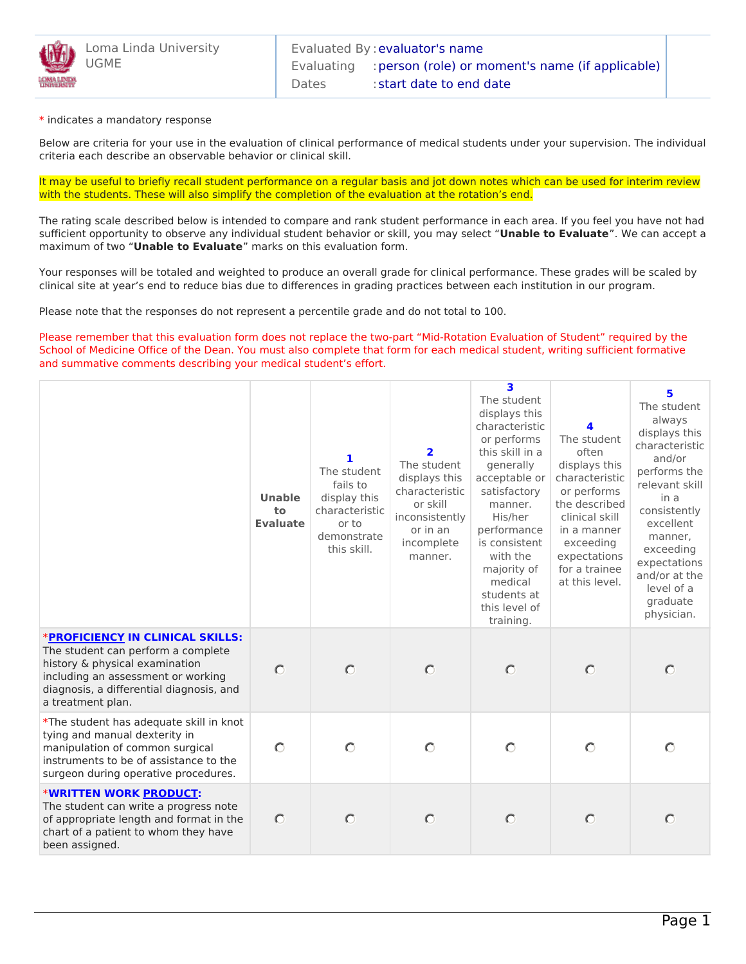

\* indicates a mandatory response

Below are criteria for your use in the evaluation of clinical performance of medical students under your supervision. The individual criteria each describe an observable behavior or clinical skill.

It may be useful to briefly recall student performance on a regular basis and jot down notes which can be used for interim review with the students. These will also simplify the completion of the evaluation at the rotation's end.

The rating scale described below is intended to compare and rank student performance in each area. If you feel you have not had sufficient opportunity to observe any individual student behavior or skill, you may select "**Unable to Evaluate**". We can accept a maximum of two "**Unable to Evaluate**" marks on this evaluation form.

Your responses will be totaled and weighted to produce an overall grade for clinical performance. These grades will be scaled by clinical site at year's end to reduce bias due to differences in grading practices between each institution in our program.

Please note that the responses do not represent a percentile grade and do not total to 100.

Please remember that this evaluation form does not replace the two-part "Mid-Rotation Evaluation of Student" required by the School of Medicine Office of the Dean. You must also complete that form for each medical student, writing sufficient formative and summative comments describing your medical student's effort.

|                                                                                                                                                                                                                        | <b>Unable</b><br>to<br><b>Evaluate</b> | 1<br>The student<br>fails to<br>display this<br>characteristic<br>or to<br>demonstrate<br>this skill. | $\overline{\mathbf{2}}$<br>The student<br>displays this<br>characteristic<br>or skill<br>inconsistently<br>or in an<br>incomplete<br>manner. | 3<br>The student<br>displays this<br>characteristic<br>or performs<br>this skill in a<br>generally<br>acceptable or<br>satisfactory<br>manner.<br>His/her<br>performance<br>is consistent<br>with the<br>majority of<br>medical<br>students at<br>this level of<br>training. | Δ.<br>The student<br>often<br>displays this<br>characteristic<br>or performs<br>the described<br>clinical skill<br>in a manner<br>exceeding<br>expectations<br>for a trainee<br>at this level. | 5<br>The student<br>always<br>displays this<br>characteristic<br>and/or<br>performs the<br>relevant skill<br>in a<br>consistently<br>excellent<br>manner,<br>exceeding<br>expectations<br>and/or at the<br>level of a<br>graduate<br>physician. |
|------------------------------------------------------------------------------------------------------------------------------------------------------------------------------------------------------------------------|----------------------------------------|-------------------------------------------------------------------------------------------------------|----------------------------------------------------------------------------------------------------------------------------------------------|------------------------------------------------------------------------------------------------------------------------------------------------------------------------------------------------------------------------------------------------------------------------------|------------------------------------------------------------------------------------------------------------------------------------------------------------------------------------------------|-------------------------------------------------------------------------------------------------------------------------------------------------------------------------------------------------------------------------------------------------|
| <b>*PROFICIENCY IN CLINICAL SKILLS:</b><br>The student can perform a complete<br>history & physical examination<br>including an assessment or working<br>diagnosis, a differential diagnosis, and<br>a treatment plan. | $\circ$                                | $\circ$                                                                                               | $\circ$                                                                                                                                      | $\circ$                                                                                                                                                                                                                                                                      | $\circ$                                                                                                                                                                                        | $\circ$                                                                                                                                                                                                                                         |
| *The student has adequate skill in knot<br>tying and manual dexterity in<br>manipulation of common surgical<br>instruments to be of assistance to the<br>surgeon during operative procedures.                          | $\circ$                                | $\circ$                                                                                               | $\circ$                                                                                                                                      | $\circ$                                                                                                                                                                                                                                                                      | $\circ$                                                                                                                                                                                        | $\circ$                                                                                                                                                                                                                                         |
| *WRITTEN WORK PRODUCT:<br>The student can write a progress note<br>of appropriate length and format in the<br>chart of a patient to whom they have<br>been assigned.                                                   | $\bigcap$                              | $\circ$                                                                                               | $\circ$                                                                                                                                      | $\circ$                                                                                                                                                                                                                                                                      | $\circ$                                                                                                                                                                                        | $\circ$                                                                                                                                                                                                                                         |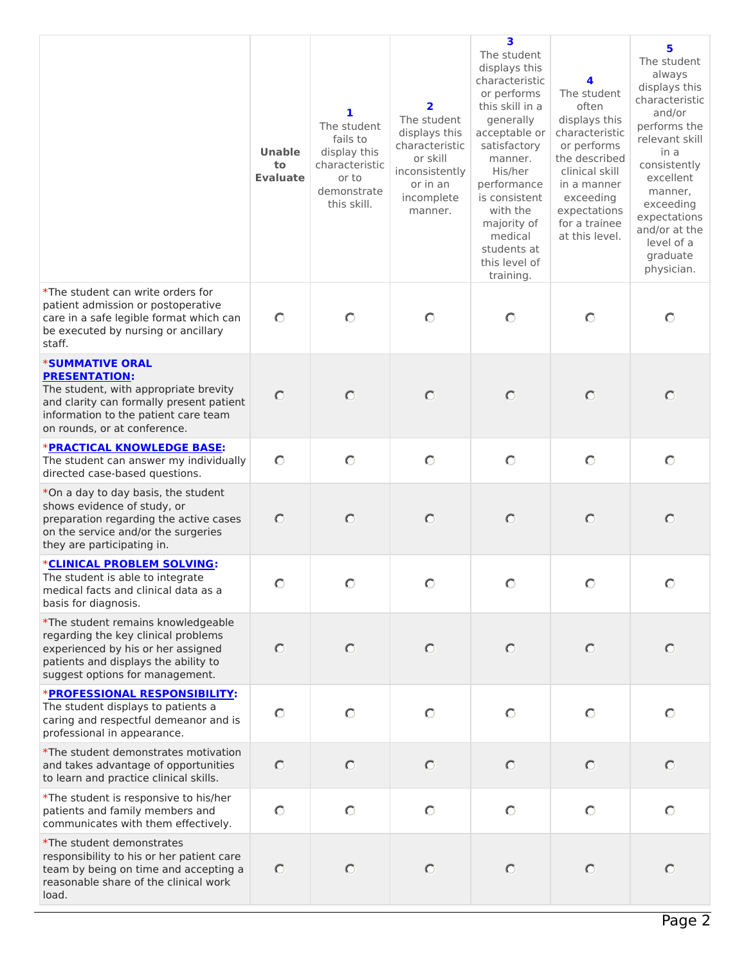|                                                                                                                                                                                                             | <b>Unable</b><br>to<br><b>Evaluate</b> | 1<br>The student<br>fails to<br>display this<br>characteristic<br>or to<br>demonstrate<br>this skill. | 2<br>The student<br>displays this<br>characteristic<br>or skill<br>inconsistently<br>or in an<br>incomplete<br>manner. | 3<br>The student<br>displays this<br>characteristic<br>or performs<br>this skill in a<br>generally<br>acceptable or<br>satisfactory<br>manner.<br>His/her<br>performance<br>is consistent<br>with the<br>majority of<br>medical<br>students at<br>this level of<br>training. | 4<br>The student<br>often<br>displays this<br>characteristic<br>or performs<br>the described<br>clinical skill<br>in a manner<br>exceeding<br>expectations<br>for a trainee<br>at this level. | 5<br>The student<br>always<br>displays this<br>characteristic<br>and/or<br>performs the<br>relevant skill<br>in a<br>consistently<br>excellent<br>manner,<br>exceeding<br>expectations<br>and/or at the<br>level of a<br>graduate<br>physician. |
|-------------------------------------------------------------------------------------------------------------------------------------------------------------------------------------------------------------|----------------------------------------|-------------------------------------------------------------------------------------------------------|------------------------------------------------------------------------------------------------------------------------|------------------------------------------------------------------------------------------------------------------------------------------------------------------------------------------------------------------------------------------------------------------------------|-----------------------------------------------------------------------------------------------------------------------------------------------------------------------------------------------|-------------------------------------------------------------------------------------------------------------------------------------------------------------------------------------------------------------------------------------------------|
| *The student can write orders for<br>patient admission or postoperative<br>care in a safe legible format which can<br>be executed by nursing or ancillary<br>staff.                                         | $\circ$                                | $\circ$                                                                                               | $\circ$                                                                                                                | $\circ$                                                                                                                                                                                                                                                                      | $\bigcirc$                                                                                                                                                                                    | $\circ$                                                                                                                                                                                                                                         |
| <b>*SUMMATIVE ORAL</b><br><b>PRESENTATION:</b><br>The student, with appropriate brevity<br>and clarity can formally present patient<br>information to the patient care team<br>on rounds, or at conference. | $\circ$                                | $\circ$                                                                                               | $\circ$                                                                                                                | $\circ$                                                                                                                                                                                                                                                                      | $\circ$                                                                                                                                                                                       | $\circ$                                                                                                                                                                                                                                         |
| <b>*PRACTICAL KNOWLEDGE BASE:</b><br>The student can answer my individually<br>directed case-based questions.                                                                                               | $\circ$                                | $\circ$                                                                                               | $\circ$                                                                                                                | $\circ$                                                                                                                                                                                                                                                                      | $\circ$                                                                                                                                                                                       | $\circ$                                                                                                                                                                                                                                         |
| *On a day to day basis, the student<br>shows evidence of study, or<br>preparation regarding the active cases<br>on the service and/or the surgeries<br>they are participating in.                           | $\circ$                                | $\circ$                                                                                               | $\circ$                                                                                                                | $\circ$                                                                                                                                                                                                                                                                      | $\circ$                                                                                                                                                                                       | $\circ$                                                                                                                                                                                                                                         |
| *CLINICAL PROBLEM SOLVING:<br>The student is able to integrate<br>medical facts and clinical data as a<br>basis for diagnosis.                                                                              | $\circ$                                | O                                                                                                     | O                                                                                                                      | O                                                                                                                                                                                                                                                                            |                                                                                                                                                                                               | O                                                                                                                                                                                                                                               |
| *The student remains knowledgeable<br>regarding the key clinical problems<br>experienced by his or her assigned<br>patients and displays the ability to<br>suggest options for management.                  | $\circ$                                | $\circ$                                                                                               | $\circ$                                                                                                                | $\circ$                                                                                                                                                                                                                                                                      | $\circ$                                                                                                                                                                                       | $\circ$                                                                                                                                                                                                                                         |
| *PROFESSIONAL RESPONSIBILITY:<br>The student displays to patients a<br>caring and respectful demeanor and is<br>professional in appearance.                                                                 | $\circ$                                | $\circ$                                                                                               | $\circ$                                                                                                                | $\circ$                                                                                                                                                                                                                                                                      | $\circ$                                                                                                                                                                                       | $\circ$                                                                                                                                                                                                                                         |
| *The student demonstrates motivation<br>and takes advantage of opportunities<br>to learn and practice clinical skills.                                                                                      | $\circ$                                | $\circ$                                                                                               | $\circ$                                                                                                                | $\circ$                                                                                                                                                                                                                                                                      | $\circ$                                                                                                                                                                                       | $\circ$                                                                                                                                                                                                                                         |
| *The student is responsive to his/her<br>patients and family members and<br>communicates with them effectively.                                                                                             | $\circ$                                | $\circ$                                                                                               | $\circ$                                                                                                                | $\circ$                                                                                                                                                                                                                                                                      | $\circ$                                                                                                                                                                                       | $\circ$                                                                                                                                                                                                                                         |
| *The student demonstrates<br>responsibility to his or her patient care<br>team by being on time and accepting a<br>reasonable share of the clinical work<br>load.                                           | $\circ$                                | $\circ$                                                                                               | $\circ$                                                                                                                | $\circ$                                                                                                                                                                                                                                                                      | $\circ$                                                                                                                                                                                       | $\circ$                                                                                                                                                                                                                                         |